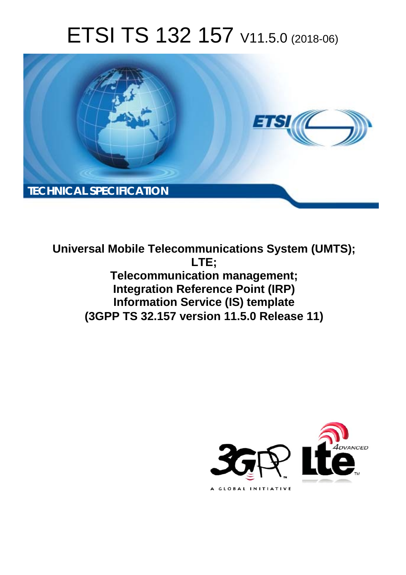# ETSI TS 132 157 V11.5.0 (2018-06)



**Universal Mobile Telecommunications System (UMTS); LTE; Telecommunication management; Integration Reference Point (IRP) Information Service (IS) template (3GPP TS 32.157 version 11.5.0 Release 11)** 

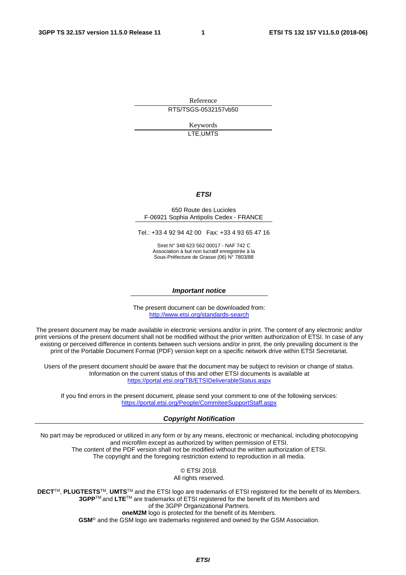Reference RTS/TSGS-0532157vb50

> Keywords LTE,UMTS

#### *ETSI*

#### 650 Route des Lucioles F-06921 Sophia Antipolis Cedex - FRANCE

Tel.: +33 4 92 94 42 00 Fax: +33 4 93 65 47 16

Siret N° 348 623 562 00017 - NAF 742 C Association à but non lucratif enregistrée à la Sous-Préfecture de Grasse (06) N° 7803/88

#### *Important notice*

The present document can be downloaded from: <http://www.etsi.org/standards-search>

The present document may be made available in electronic versions and/or in print. The content of any electronic and/or print versions of the present document shall not be modified without the prior written authorization of ETSI. In case of any existing or perceived difference in contents between such versions and/or in print, the only prevailing document is the print of the Portable Document Format (PDF) version kept on a specific network drive within ETSI Secretariat.

Users of the present document should be aware that the document may be subject to revision or change of status. Information on the current status of this and other ETSI documents is available at <https://portal.etsi.org/TB/ETSIDeliverableStatus.aspx>

If you find errors in the present document, please send your comment to one of the following services: <https://portal.etsi.org/People/CommiteeSupportStaff.aspx>

#### *Copyright Notification*

No part may be reproduced or utilized in any form or by any means, electronic or mechanical, including photocopying and microfilm except as authorized by written permission of ETSI. The content of the PDF version shall not be modified without the written authorization of ETSI. The copyright and the foregoing restriction extend to reproduction in all media.

> © ETSI 2018. All rights reserved.

**DECT**TM, **PLUGTESTS**TM, **UMTS**TM and the ETSI logo are trademarks of ETSI registered for the benefit of its Members. **3GPP**TM and **LTE**TM are trademarks of ETSI registered for the benefit of its Members and of the 3GPP Organizational Partners. **oneM2M** logo is protected for the benefit of its Members.

**GSM**® and the GSM logo are trademarks registered and owned by the GSM Association.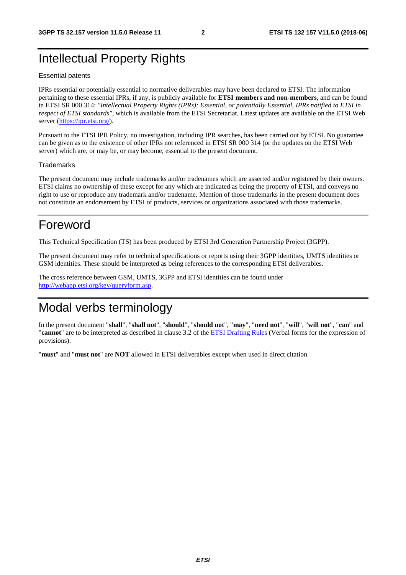### Intellectual Property Rights

#### Essential patents

IPRs essential or potentially essential to normative deliverables may have been declared to ETSI. The information pertaining to these essential IPRs, if any, is publicly available for **ETSI members and non-members**, and can be found in ETSI SR 000 314: *"Intellectual Property Rights (IPRs); Essential, or potentially Essential, IPRs notified to ETSI in respect of ETSI standards"*, which is available from the ETSI Secretariat. Latest updates are available on the ETSI Web server ([https://ipr.etsi.org/\)](https://ipr.etsi.org/).

Pursuant to the ETSI IPR Policy, no investigation, including IPR searches, has been carried out by ETSI. No guarantee can be given as to the existence of other IPRs not referenced in ETSI SR 000 314 (or the updates on the ETSI Web server) which are, or may be, or may become, essential to the present document.

#### **Trademarks**

The present document may include trademarks and/or tradenames which are asserted and/or registered by their owners. ETSI claims no ownership of these except for any which are indicated as being the property of ETSI, and conveys no right to use or reproduce any trademark and/or tradename. Mention of those trademarks in the present document does not constitute an endorsement by ETSI of products, services or organizations associated with those trademarks.

### Foreword

This Technical Specification (TS) has been produced by ETSI 3rd Generation Partnership Project (3GPP).

The present document may refer to technical specifications or reports using their 3GPP identities, UMTS identities or GSM identities. These should be interpreted as being references to the corresponding ETSI deliverables.

The cross reference between GSM, UMTS, 3GPP and ETSI identities can be found under [http://webapp.etsi.org/key/queryform.asp.](http://webapp.etsi.org/key/queryform.asp)

### Modal verbs terminology

In the present document "**shall**", "**shall not**", "**should**", "**should not**", "**may**", "**need not**", "**will**", "**will not**", "**can**" and "**cannot**" are to be interpreted as described in clause 3.2 of the [ETSI Drafting Rules](https://portal.etsi.org/Services/editHelp!/Howtostart/ETSIDraftingRules.aspx) (Verbal forms for the expression of provisions).

"**must**" and "**must not**" are **NOT** allowed in ETSI deliverables except when used in direct citation.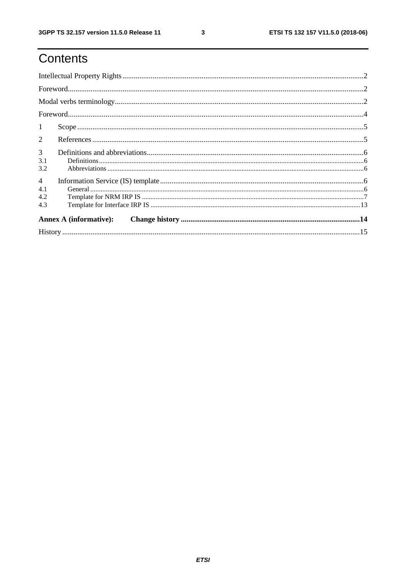## Contents

| $\mathbf{1}$   |                               |  |
|----------------|-------------------------------|--|
| $\overline{2}$ |                               |  |
| $\mathfrak{Z}$ |                               |  |
| 3.1            |                               |  |
| 3.2            |                               |  |
| $\overline{4}$ |                               |  |
| 4.1            |                               |  |
| 4.2            |                               |  |
| 4.3            |                               |  |
|                | <b>Annex A (informative):</b> |  |
|                |                               |  |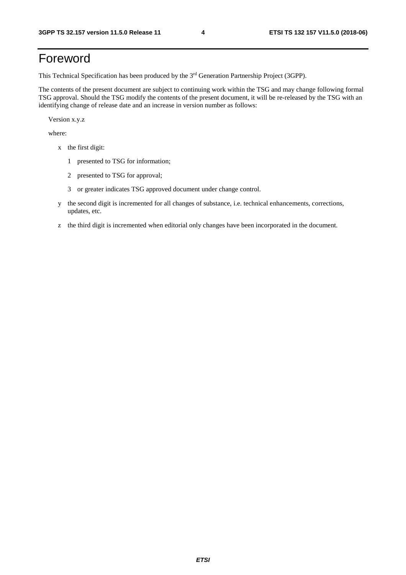## Foreword

This Technical Specification has been produced by the 3rd Generation Partnership Project (3GPP).

The contents of the present document are subject to continuing work within the TSG and may change following formal TSG approval. Should the TSG modify the contents of the present document, it will be re-released by the TSG with an identifying change of release date and an increase in version number as follows:

Version x.y.z

where:

- x the first digit:
	- 1 presented to TSG for information;
	- 2 presented to TSG for approval;
	- 3 or greater indicates TSG approved document under change control.
- y the second digit is incremented for all changes of substance, i.e. technical enhancements, corrections, updates, etc.
- z the third digit is incremented when editorial only changes have been incorporated in the document.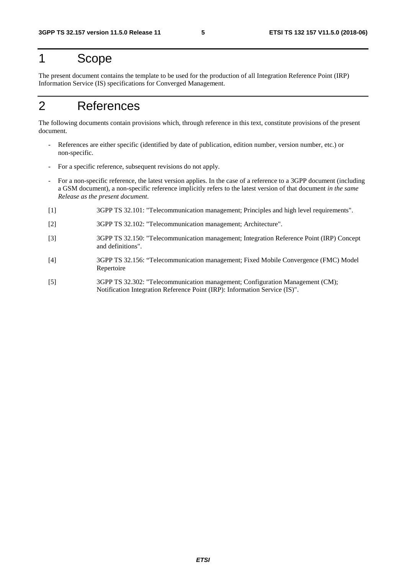## 1 Scope

The present document contains the template to be used for the production of all Integration Reference Point (IRP) Information Service (IS) specifications for Converged Management.

## 2 References

The following documents contain provisions which, through reference in this text, constitute provisions of the present document.

- References are either specific (identified by date of publication, edition number, version number, etc.) or non-specific.
- For a specific reference, subsequent revisions do not apply.
- For a non-specific reference, the latest version applies. In the case of a reference to a 3GPP document (including a GSM document), a non-specific reference implicitly refers to the latest version of that document *in the same Release as the present document*.
- [1] 3GPP TS 32.101: "Telecommunication management; Principles and high level requirements".
- [2] 3GPP TS 32.102: "Telecommunication management; Architecture".
- [3] 3GPP TS 32.150: "Telecommunication management; Integration Reference Point (IRP) Concept and definitions".
- [4] 3GPP TS 32.156: "Telecommunication management; Fixed Mobile Convergence (FMC) Model Repertoire
- [5] 3GPP TS 32.302: "Telecommunication management; Configuration Management (CM); Notification Integration Reference Point (IRP): Information Service (IS)".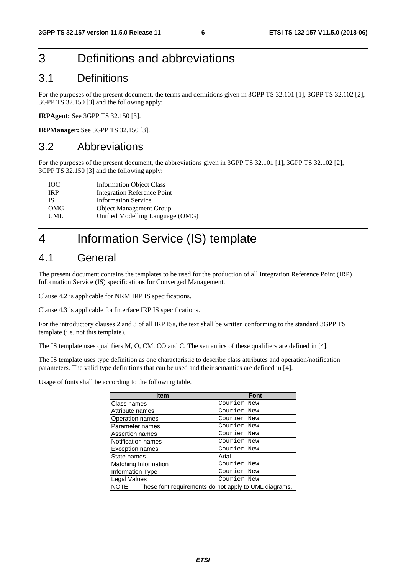## 3 Definitions and abbreviations

### 3.1 Definitions

For the purposes of the present document, the terms and definitions given in 3GPP TS 32.101 [1], 3GPP TS 32.102 [2], 3GPP TS 32.150 [3] and the following apply:

**IRPAgent:** See 3GPP TS 32.150 [3].

**IRPManager:** See 3GPP TS 32.150 [3].

### 3.2 Abbreviations

For the purposes of the present document, the abbreviations given in 3GPP TS 32.101 [1], 3GPP TS 32.102 [2], 3GPP TS 32.150 [3] and the following apply:

| <b>Information Object Class</b>  |
|----------------------------------|
| Integration Reference Point      |
| <b>Information Service</b>       |
| <b>Object Management Group</b>   |
| Unified Modelling Language (OMG) |
|                                  |

## 4 Information Service (IS) template

### 4.1 General

The present document contains the templates to be used for the production of all Integration Reference Point (IRP) Information Service (IS) specifications for Converged Management.

Clause 4.2 is applicable for NRM IRP IS specifications.

Clause 4.3 is applicable for Interface IRP IS specifications.

For the introductory clauses 2 and 3 of all IRP ISs, the text shall be written conforming to the standard 3GPP TS template (i.e. not this template).

The IS template uses qualifiers M, O, CM, CO and C. The semantics of these qualifiers are defined in [4].

The IS template uses type definition as one characteristic to describe class attributes and operation/notification parameters. The valid type definitions that can be used and their semantics are defined in [4].

Usage of fonts shall be according to the following table.

| <b>Item</b>                                                 | <b>Font</b> |
|-------------------------------------------------------------|-------------|
| Class names                                                 | Courier New |
| Attribute names                                             | Courier New |
| Operation names                                             | Courier New |
| Parameter names                                             | Courier New |
| Assertion names                                             | Courier New |
| Notification names                                          | Courier New |
| <b>Exception names</b>                                      | Courier New |
| State names                                                 | Arial       |
| Matching Information                                        | Courier New |
| Information Type                                            | Courier New |
| Legal Values                                                | Courier New |
| NOTE: These font requirements do not apply to UML diagrams. |             |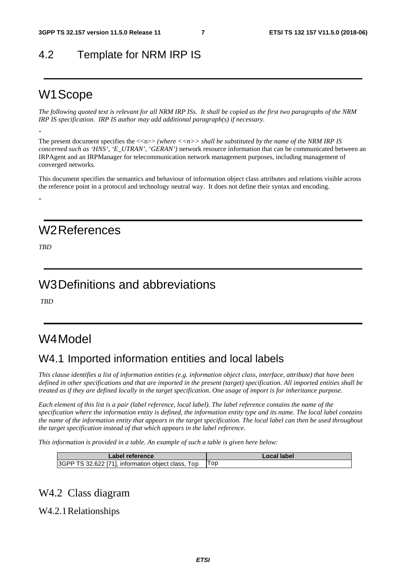### 4.2 Template for NRM IRP IS

### W1 Scope

*The following quoted text is relevant for all NRM IRP ISs. It shall be copied as the first two paragraphs of the NRM IRP IS specification. IRP IS author may add additional paragraph(s) if necessary.* 

"

The present document specifies the  $\langle \langle n \rangle \rangle$  *(where*  $\langle \langle n \rangle \rangle$  *shall be substituted by the name of the NRM IRP IS concerned such as 'HNS', 'E\_UTRAN', 'GERAN')* network resource information that can be communicated between an IRPAgent and an IRPManager for telecommunication network management purposes, including management of converged networks.

This document specifies the semantics and behaviour of information object class attributes and relations visible across the reference point in a protocol and technology neutral way. It does not define their syntax and encoding.

W2 References

*TBD* 

"

## W3 Definitions and abbreviations

 *TBD* 

## W4 Model

### W4.1 Imported information entities and local labels

*This clause identifies a list of information entities (e.g. information object class, interface, attribute) that have been defined in other specifications and that are imported in the present (target) specification. All imported entities shall be treated as if they are defined locally in the target specification. One usage of import is for inheritance purpose.* 

*Each element of this list is a pair (label reference, local label). The label reference contains the name of the specification where the information entity is defined, the information entity type and its name. The local label contains the name of the information entity that appears in the target specification. The local label can then be used throughout the target specification instead of that which appears in the label reference.* 

*This information is provided in a table. An example of such a table is given here below:* 

| Label reference                                         | Local label |
|---------------------------------------------------------|-------------|
| 3GPP TS 32.622 [71], information object class, Top  Top |             |

### W4.2 Class diagram

W4.2.1 Relationships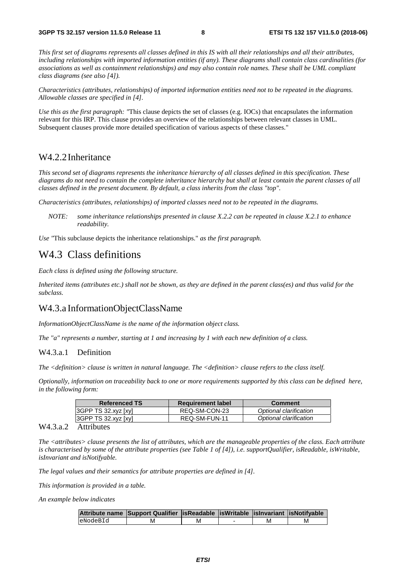*This first set of diagrams represents all classes defined in this IS with all their relationships and all their attributes, including relationships with imported information entities (if any). These diagrams shall contain class cardinalities (for associations as well as containment relationships) and may also contain role names. These shall be UML compliant class diagrams (see also [*4*]).* 

*Characteristics (attributes, relationships) of imported information entities need not to be repeated in the diagrams. Allowable classes are specified in [4].* 

*Use this as the first paragraph: "*This clause depicts the set of classes (e.g. IOCs) that encapsulates the information relevant for this IRP. This clause provides an overview of the relationships between relevant classes in UML. Subsequent clauses provide more detailed specification of various aspects of these classes."

#### W4.2.2 Inheritance

*This second set of diagrams represents the inheritance hierarchy of all classes defined in this specification. These diagrams do not need to contain the complete inheritance hierarchy but shall at least contain the parent classes of all classes defined in the present document. By default, a class inherits from the class "top".* 

*Characteristics (attributes, relationships) of imported classes need not to be repeated in the diagrams.* 

*NOTE: some inheritance relationships presented in clause X.2.2 can be repeated in clause X.2.1 to enhance readability.* 

*Use "*This subclause depicts the inheritance relationships." *as the first paragraph.*

### W4.3 Class definitions

*Each class is defined using the following structure.* 

*Inherited items (attributes etc.) shall not be shown, as they are defined in the parent class(es) and thus valid for the subclass.* 

#### W4.3.a InformationObjectClassName

*InformationObjectClassName is the name of the information object class.* 

*The "a" represents a number, starting at 1 and increasing by 1 with each new definition of a class.* 

#### W4.3.a.1 Definition

*The <definition> clause is written in natural language. The <definition> clause refers to the class itself.* 

*Optionally, information on traceability back to one or more requirements supported by this class can be defined here, in the following form:* 

| <b>Referenced TS</b> | <b>Requirement label</b> | <b>Comment</b>         |
|----------------------|--------------------------|------------------------|
| 3GPPTS32.xyz[xy]     | REQ-SM-CON-23            | Optional clarification |
| $ 3GPPTS32xyz$ [xy]  | REQ-SM-FUN-11            | Optional clarification |

#### W4.3.a.2 Attributes

*The <attributes> clause presents the list of attributes, which are the manageable properties of the class. Each attribute is characterised by some of the attribute properties (see Table 1 of [4]), i.e. supportQualifier, isReadable, isWritable, isInvariant and isNotifyable.* 

*The legal values and their semantics for attribute properties are defined in [4].* 

*This information is provided in a table.* 

*An example below indicates*

|          | Attribute name Support Qualifier   isReadable   isWritable   isInvariant   isNotifyable |  |  |
|----------|-----------------------------------------------------------------------------------------|--|--|
| eNodeBId |                                                                                         |  |  |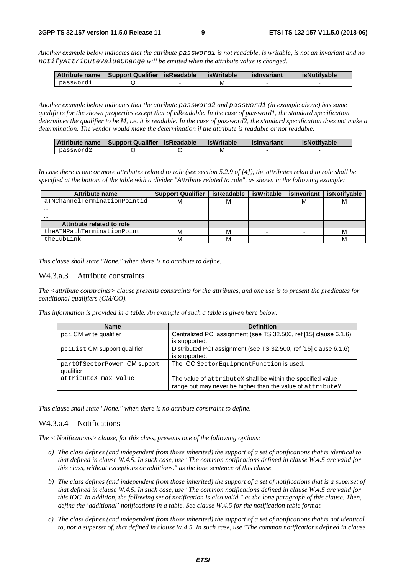*Another example below indicates that the attribute password1 is not readable, is writable, is not an invariant and no notifyAttributeValueChange will be emitted when the attribute value is changed.* 

| Attribute name | Support Qualifier   is Readable | <b>isWritable</b> | islnvariant | <b>isNotifvable</b> |
|----------------|---------------------------------|-------------------|-------------|---------------------|
| passwordl      |                                 | M                 |             |                     |

*Another example below indicates that the attribute password2 and password1 (in example above) has same qualifiers for the shown properties except that of isReadable. In the case of password1, the standard specification determines the qualifier to be M, i.e. it is readable. In the case of password2, the standard specification does not make a determination. The vendor would make the determination if the attribute is readable or not readable.* 

| <b>Attribute name</b> | Support Qualifier   is Readable | <b>isWritable</b> | islnvariant | <b>isNotifvable</b> |
|-----------------------|---------------------------------|-------------------|-------------|---------------------|
| password2             |                                 | M                 |             |                     |

*In case there is one or more attributes related to role (see section 5.2.9 of [4]), the attributes related to role shall be specified at the bottom of the table with a divider "Attribute related to role", as shown in the following example:* 

| Attribute name               | <b>Support Qualifier</b> | isReadable | isWritable | islnvariant | <b>isNotifvable</b> |
|------------------------------|--------------------------|------------|------------|-------------|---------------------|
| aTMChannelTerminationPointid | м                        | M          |            | м           | м                   |
|                              |                          |            |            |             |                     |
| $\cdots$                     |                          |            |            |             |                     |
| Attribute related to role    |                          |            |            |             |                     |
| theATMPathTerminationPoint   | м                        | M          |            |             | м                   |
| theIubLink                   | м                        |            |            |             | м                   |

*This clause shall state "None." when there is no attribute to define.*

#### W4.3.a.3 Attribute constraints

*The <attribute constraints> clause presents constraints for the attributes, and one use is to present the predicates for conditional qualifiers (CM/CO).* 

*This information is provided in a table. An example of such a table is given here below:* 

| <b>Name</b>                  | <b>Definition</b>                                                 |
|------------------------------|-------------------------------------------------------------------|
| pci CM write qualifier       | Centralized PCI assignment (see TS 32.500, ref [15] clause 6.1.6) |
|                              | is supported.                                                     |
| pcilist CM support qualifier | Distributed PCI assignment (see TS 32.500, ref [15] clause 6.1.6) |
|                              | is supported.                                                     |
| partOfSectorPower CM support | The IOC Sector Equipment Function is used.                        |
| qualifier                    |                                                                   |
| attributeX max value         | The value of attributeX shall be within the specified value       |
|                              | range but may never be higher than the value of attributey.       |

*This clause shall state "None." when there is no attribute constraint to define.* 

#### W4.3.a.4 Notifications

*The < Notifications> clause, for this class, presents one of the following options:* 

- *a) The class defines (and independent from those inherited) the support of a set of notifications that is identical to that defined in clause W.4.5. In such case, use "The common notifications defined in clause W.4.5 are valid for this class, without exceptions or additions." as the lone sentence of this clause.*
- *b) The class defines (and independent from those inherited) the support of a set of notifications that is a superset of that defined in clause W.4.5. In such case, use "The common notifications defined in clause W.4.5 are valid for this IOC. In addition, the following set of notification is also valid." as the lone paragraph of this clause. Then, define the 'additional' notifications in a table. See clause W.4.5 for the notification table format.*
- *c) The class defines (and independent from those inherited) the support of a set of notifications that is not identical to, nor a superset of, that defined in clause W.4.5. In such case, use "The common notifications defined in clause*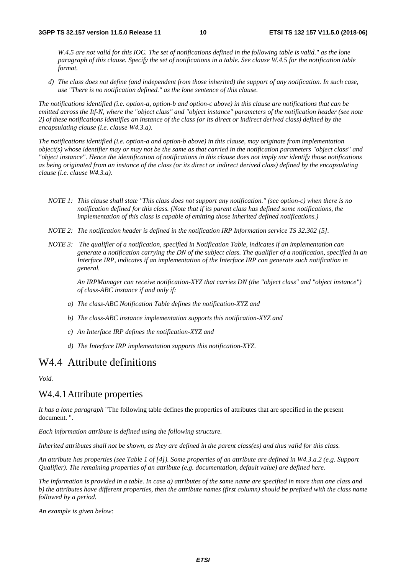*W.4.5 are not valid for this IOC. The set of notifications defined in the following table is valid." as the lone paragraph of this clause. Specify the set of notifications in a table. See clause W.4.5 for the notification table format.* 

*d) The class does not define (and independent from those inherited) the support of any notification. In such case, use "There is no notification defined." as the lone sentence of this clause.* 

*The notifications identified (i.e. option-a, option-b and option-c above) in this clause are notifications that can be emitted across the Itf-N, where the "object class" and "object instance" parameters of the notification header (see note 2) of these notifications identifies an instance of the class (or its direct or indirect derived class) defined by the encapsulating clause (i.e. clause W4.3.a).* 

*The notifications identified (i.e. option-a and option-b above) in this clause, may originate from implementation object(s) whose identifier may or may not be the same as that carried in the notification parameters "object class" and "object instance". Hence the identification of notifications in this clause does not imply nor identify those notifications as being originated from an instance of the class (or its direct or indirect derived class) defined by the encapsulating clause (i.e. clause W4.3.a).* 

- *NOTE 1: This clause shall state "This class does not support any notification." (see option-c) when there is no notification defined for this class. (Note that if its parent class has defined some notifications, the implementation of this class is capable of emitting those inherited defined notifications.)*
- *NOTE 2: The notification header is defined in the notification IRP Information service TS 32.302 [5].*
- *NOTE 3: The qualifier of a notification, specified in Notification Table, indicates if an implementation can generate a notification carrying the DN of the subject class. The qualifier of a notification, specified in an Interface IRP, indicates if an implementation of the Interface IRP can generate such notification in general.*

*An IRPManager can receive notification-XYZ that carries DN (the "object class" and "object instance") of class-ABC instance if and only if:* 

- *a) The class-ABC Notification Table defines the notification-XYZ and*
- *b) The class-ABC instance implementation supports this notification-XYZ and*
- *c) An Interface IRP defines the notification-XYZ and*
- *d) The Interface IRP implementation supports this notification-XYZ.*

### W4.4 Attribute definitions

*Void.* 

#### W4.4.1 Attribute properties

*It has a lone paragraph* "The following table defines the properties of attributes that are specified in the present document. ".

*Each information attribute is defined using the following structure.* 

*Inherited attributes shall not be shown, as they are defined in the parent class(es) and thus valid for this class.* 

*An attribute has properties (see Table 1 of [4]). Some properties of an attribute are defined in W4.3.a.2 (e.g. Support Qualifier). The remaining properties of an attribute (e.g. documentation, default value) are defined here.* 

*The information is provided in a table. In case a) attributes of the same name are specified in more than one class and b) the attributes have different properties, then the attribute names (first column) should be prefixed with the class name followed by a period.* 

*An example is given below:*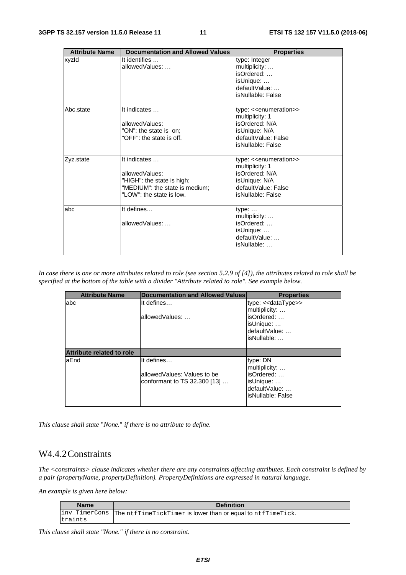| <b>Attribute Name</b> | <b>Documentation and Allowed Values</b>                                                                                    | <b>Properties</b>                                                                                                                              |
|-----------------------|----------------------------------------------------------------------------------------------------------------------------|------------------------------------------------------------------------------------------------------------------------------------------------|
| xyzld                 | It identifies<br>allowedValues:                                                                                            | type: Integer<br>multiplicity:<br>isOrdered:<br>isUnique:<br>defaultValue:<br>isNullable: False                                                |
| Abc.state             | It indicates<br>allowedValues:<br>"ON": the state is on:<br>"OFF": the state is off.                                       | type: < <enumeration>&gt;<br/>multiplicity: 1<br/>isOrdered: N/A<br/>isUnique: N/A<br/>defaultValue: False<br/>isNullable: False</enumeration> |
| Zyz.state             | It indicates<br>allowedValues:<br>"HIGH": the state is high;<br>"MEDIUM": the state is medium:<br>"LOW": the state is low. | type: < <enumeration>&gt;<br/>multiplicity: 1<br/>isOrdered: N/A<br/>isUnique: N/A<br/>defaultValue: False<br/>isNullable: False</enumeration> |
| labc                  | It defines<br>allowedValues:                                                                                               | $type: \ldots$<br>multiplicity:<br>isOrdered:<br>isUnique:<br>defaultValue:<br>isNullable:                                                     |

*In case there is one or more attributes related to role (see section 5.2.9 of [4]), the attributes related to role shall be specified at the bottom of the table with a divider "Attribute related to role". See example below.* 

| <b>Attribute Name</b>            | Documentation and Allowed Values | <b>Properties</b>   |
|----------------------------------|----------------------------------|---------------------|
| abc                              | It defines                       | type: << dataType>> |
|                                  |                                  | multiplicity:       |
|                                  | allowedValues:                   | isOrdered:          |
|                                  |                                  | isUnique:           |
|                                  |                                  | defaultValue:       |
|                                  |                                  | isNullable:         |
|                                  |                                  |                     |
| <b>Attribute related to role</b> |                                  |                     |
| aEnd                             | It defines                       | type: DN            |
|                                  |                                  | multiplicity:       |
|                                  | allowed Values: Values to be     | isOrdered:          |
|                                  | conformant to TS 32.300 [13]     | isUnique:           |
|                                  |                                  | defaultValue:       |
|                                  |                                  | isNullable: False   |
|                                  |                                  |                     |

*This clause shall state* "*None.*" *if there is no attribute to define.* 

### W4.4.2 Constraints

*The <constraints> clause indicates whether there are any constraints affecting attributes. Each constraint is defined by a pair (propertyName, propertyDefinition). PropertyDefinitions are expressed in natural language.* 

*An example is given here below:* 

| <b>Name</b> | <b>Definition</b>                                                          |
|-------------|----------------------------------------------------------------------------|
|             | inv_TimerCons  The ntfTimeTickTimer is lower than or equal to ntfTimeTick. |
| traints     |                                                                            |

*This clause shall state "None." if there is no constraint.*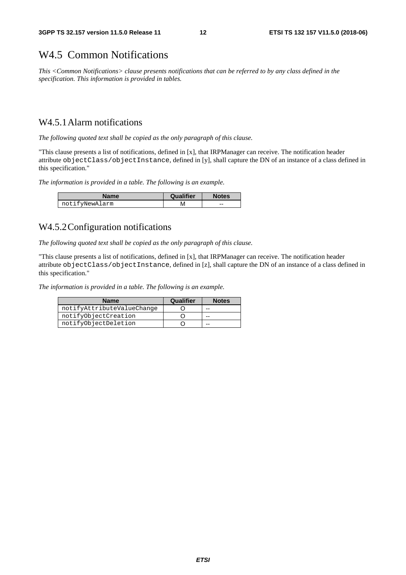### W4.5 Common Notifications

*This <Common Notifications> clause presents notifications that can be referred to by any class defined in the specification. This information is provided in tables.* 

### W4.5.1 Alarm notifications

*The following quoted text shall be copied as the only paragraph of this clause.* 

"This clause presents a list of notifications, defined in [x], that IRPManager can receive. The notification header attribute objectClass/objectInstance, defined in [y], shall capture the DN of an instance of a class defined in this specification."

*The information is provided in a table. The following is an example.* 

| <b>Name</b>    | Qualifier | <b>Notes</b> |  |
|----------------|-----------|--------------|--|
| notifyNewAlarm | M         | --           |  |

### W4.5.2 Configuration notifications

*The following quoted text shall be copied as the only paragraph of this clause.* 

"This clause presents a list of notifications, defined in [x], that IRPManager can receive. The notification header attribute objectClass/objectInstance, defined in [z], shall capture the DN of an instance of a class defined in this specification."

*The information is provided in a table. The following is an example.* 

| <b>Name</b>                | Qualifier | <b>Notes</b> |
|----------------------------|-----------|--------------|
| notifyAttributeValueChange |           | --           |
| notifyObjectCreation       |           | --           |
| notifyObjectDeletion       |           | --           |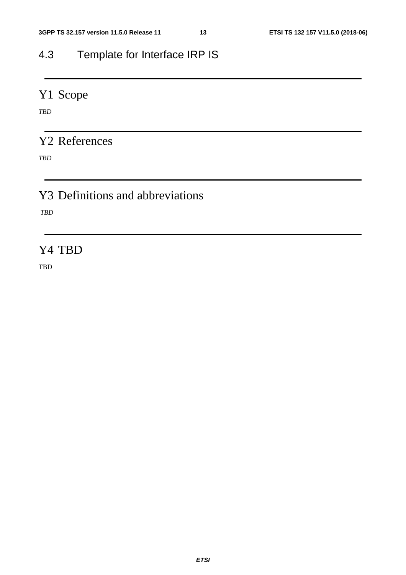## 4.3 Template for Interface IRP IS

## Y1 Scope

*TBD* 

### Y2 References

*TBD* 

## Y3 Definitions and abbreviations

 *TBD* 

### Y4 TBD

TBD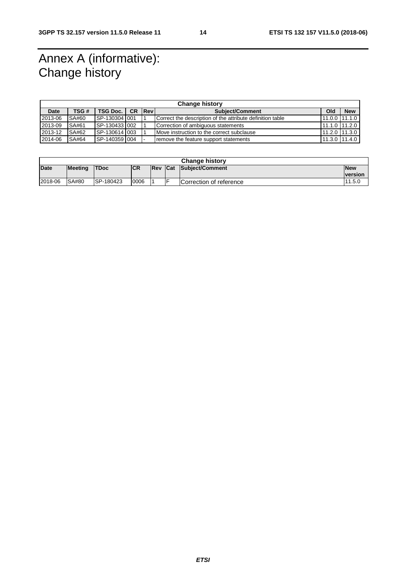## Annex A (informative): Change history

| <b>Change history</b> |       |               |           |              |                                                           |               |            |
|-----------------------|-------|---------------|-----------|--------------|-----------------------------------------------------------|---------------|------------|
| Date                  | TSG # | TSG Doc.      | <b>CR</b> | <b>IRevi</b> | <b>Subiect/Comment</b>                                    | Old           | <b>New</b> |
| 2013-06               | SA#60 | SP-130304 001 |           |              | Correct the description of the attribute definition table | 11.0.0 11.1.0 |            |
| 2013-09               | SA#61 | SP-130433 002 |           |              | Correction of ambiguous statements                        | 11.1.0 11.2.0 |            |
| 2013-12               | SA#62 | SP-130614 003 |           |              | Move instruction to the correct subclause                 | 11.2.0 11.3.0 |            |
| 2014-06               | SA#64 | SP-140359 004 |           |              | remove the feature support statements                     | 11.3.0 11.4.0 |            |

| <b>Change history</b> |         |                   |            |             |         |                         |                              |
|-----------------------|---------|-------------------|------------|-------------|---------|-------------------------|------------------------------|
| Date                  | Meeting | <b>TDoc</b>       | <b>ICR</b> | <b>IRev</b> | $1$ Cat | Subject/Comment         | <b>New</b><br><b>version</b> |
| 2018-06               | SA#80   | <b>ISP-180423</b> | 0006       |             |         | Correction of reference | 11.5.0                       |